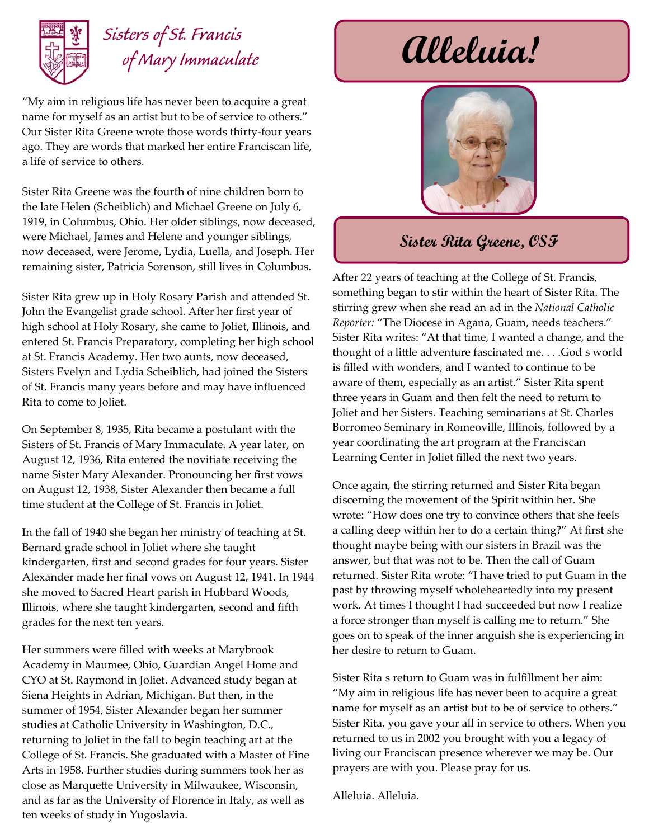

# *Sisters of St. Francis*

"My aim in religious life has never been to acquire a great name for myself as an artist but to be of service to others." Our Sister Rita Greene wrote those words thirty-four years ago. They are words that marked her entire Franciscan life, a life of service to others.

Sister Rita Greene was the fourth of nine children born to the late Helen (Scheiblich) and Michael Greene on July 6, 1919, in Columbus, Ohio. Her older siblings, now deceased, were Michael, James and Helene and younger siblings, now deceased, were Jerome, Lydia, Luella, and Joseph. Her remaining sister, Patricia Sorenson, still lives in Columbus.

Sister Rita grew up in Holy Rosary Parish and attended St. John the Evangelist grade school. After her first year of high school at Holy Rosary, she came to Joliet, Illinois, and entered St. Francis Preparatory, completing her high school at St. Francis Academy. Her two aunts, now deceased, Sisters Evelyn and Lydia Scheiblich, had joined the Sisters of St. Francis many years before and may have influenced Rita to come to Joliet.

On September 8, 1935, Rita became a postulant with the Sisters of St. Francis of Mary Immaculate. A year later, on August 12, 1936, Rita entered the novitiate receiving the name Sister Mary Alexander. Pronouncing her first vows on August 12, 1938, Sister Alexander then became a full time student at the College of St. Francis in Joliet.

In the fall of 1940 she began her ministry of teaching at St. Bernard grade school in Joliet where she taught kindergarten, first and second grades for four years. Sister Alexander made her final vows on August 12, 1941. In 1944 she moved to Sacred Heart parish in Hubbard Woods, Illinois, where she taught kindergarten, second and fifth grades for the next ten years.

Her summers were filled with weeks at Marybrook Academy in Maumee, Ohio, Guardian Angel Home and CYO at St. Raymond in Joliet. Advanced study began at Siena Heights in Adrian, Michigan. But then, in the summer of 1954, Sister Alexander began her summer studies at Catholic University in Washington, D.C., returning to Joliet in the fall to begin teaching art at the College of St. Francis. She graduated with a Master of Fine Arts in 1958. Further studies during summers took her as close as Marquette University in Milwaukee, Wisconsin, and as far as the University of Florence in Italy, as well as ten weeks of study in Yugoslavia.

## $\mathcal{U}\mathcal{U}$ eluia!



#### **Sister Rita Greene, OSF**

After 22 years of teaching at the College of St. Francis, something began to stir within the heart of Sister Rita. The stirring grew when she read an ad in the *National Catholic Reporter:* "The Diocese in Agana, Guam, needs teachers." Sister Rita writes: "At that time, I wanted a change, and the thought of a little adventure fascinated me... .God s world is filled with wonders, and I wanted to continue to be aware of them, especially as an artist." Sister Rita spent three years in Guam and then felt the need to return to Joliet and her Sisters. Teaching seminarians at St. Charles Borromeo Seminary in Romeoville, Illinois, followed by a year coordinating the art program at the Franciscan Learning Center in Joliet filled the next two years.

Once again, the stirring returned and Sister Rita began discerning the movement of the Spirit within her. She wrote: "How does one try to convince others that she feels a calling deep within her to do a certain thing?" At first she thought maybe being with our sisters in Brazil was the answer, but that was not to be. Then the call of Guam returned. Sister Rita wrote: "I have tried to put Guam in the past by throwing myself wholeheartedly into my present work. At times I thought I had succeeded but now I realize a force stronger than myself is calling me to return." She goes on to speak of the inner anguish she is experiencing in her desire to return to Guam.

Sister Rita s return to Guam was in fulfillment her aim: "My aim in religious life has never been to acquire a great name for myself as an artist but to be of service to others." Sister Rita, you gave your all in service to others. When you returned to us in 2002 you brought with you a legacy of living our Franciscan presence wherever we may be. Our prayers are with you. Please pray for us.

Alleluia. Alleluia.